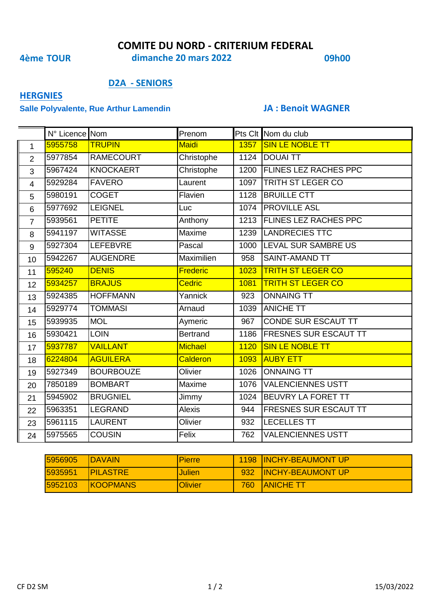### **COMITE DU NORD - CRITERIUM FEDERAL**

**4ème TOUR 09h00 dimanche 20 mars 2022**

### **D2A - SENIORS**

## **HERGNIES**

### **Salle Polyvalente, Rue Arthur Lamendin JA : Benoit WAGNER**

|                         | N° Licence Nom |                  | Prenom          |      | Pts Clt Nom du club          |
|-------------------------|----------------|------------------|-----------------|------|------------------------------|
| $\mathbf{1}$            | 5955758        | <b>TRUPIN</b>    | Maidi           |      | 1357 SIN LE NOBLE TT         |
| $\overline{2}$          | 5977854        | <b>RAMECOURT</b> | Christophe      |      | 1124 DOUAI TT                |
| 3                       | 5967424        | <b>KNOCKAERT</b> | Christophe      |      | 1200 FLINES LEZ RACHES PPC   |
| $\overline{\mathbf{4}}$ | 5929284        | <b>FAVERO</b>    | Laurent         |      | 1097   TRITH ST LEGER CO     |
| 5                       | 5980191        | <b>COGET</b>     | Flavien         | 1128 | <b>BRUILLE CTT</b>           |
| 6                       | 5977692        | <b>LEIGNEL</b>   | Luc             | 1074 | <b>PROVILLE ASL</b>          |
| $\overline{7}$          | 5939561        | <b>PETITE</b>    | Anthony         | 1213 | <b>FLINES LEZ RACHES PPC</b> |
| 8                       | 5941197        | <b>WITASSE</b>   | Maxime          | 1239 | <b>LANDRECIES TTC</b>        |
| 9                       | 5927304        | LEFEBVRE         | Pascal          | 1000 | <b>LEVAL SUR SAMBRE US</b>   |
| 10                      | 5942267        | <b>AUGENDRE</b>  | Maximilien      | 958  | <b>SAINT-AMAND TT</b>        |
| 11                      | 595240         | <b>DENIS</b>     | <b>Frederic</b> | 1023 | <b>TRITH ST LEGER CO</b>     |
| 12 <sup>2</sup>         | 5934257        | <b>BRAJUS</b>    | <b>Cedric</b>   | 1081 | <b>TRITH ST LEGER CO</b>     |
| 13                      | 5924385        | <b>HOFFMANN</b>  | Yannick         | 923  | <b>ONNAING TT</b>            |
| 14                      | 5929774        | <b>TOMMASI</b>   | Arnaud          | 1039 | <b>ANICHE TT</b>             |
| 15                      | 5939935        | <b>MOL</b>       | Aymeric         | 967  | CONDE SUR ESCAUT TT          |
| 16                      | 5930421        | <b>LOIN</b>      | <b>Bertrand</b> | 1186 | <b>FRESNES SUR ESCAUT TT</b> |
| 17                      | 5937787        | <b>VAILLANT</b>  | Michael         | 1120 | <b>SIN LE NOBLE TT</b>       |
| 18                      | 6224804        | <b>AGUILERA</b>  | <b>Calderon</b> | 1093 | <b>AUBY ETT</b>              |
| 19                      | 5927349        | <b>BOURBOUZE</b> | Olivier         | 1026 | <b>ONNAING TT</b>            |
| 20                      | 7850189        | <b>BOMBART</b>   | Maxime          | 1076 | <b>VALENCIENNES USTT</b>     |
| 21                      | 5945902        | <b>BRUGNIEL</b>  | Jimmy           | 1024 | <b>BEUVRY LA FORET TT</b>    |
| 22                      | 5963351        | LEGRAND          | <b>Alexis</b>   | 944  | <b>FRESNES SUR ESCAUT TT</b> |
| 23                      | 5961115        | <b>LAURENT</b>   | Olivier         | 932  | <b>LECELLES TT</b>           |
| 24                      | 5975565        | <b>COUSIN</b>    | Felix           | 762  | <b>VALENCIENNES USTT</b>     |

| 5956905 | <b>IDAVAIN</b>   | <b>IPierre</b> |     | 1198 INCHY-BEAUMONT UP   |
|---------|------------------|----------------|-----|--------------------------|
| 5935951 | <b>IPILASTRE</b> | Julien         | 932 | <b>INCHY-BEAUMONT UP</b> |
| 5952103 | <b>IKOOPMANS</b> | <b>Olivier</b> | 760 | <b>IANICHE TT</b>        |